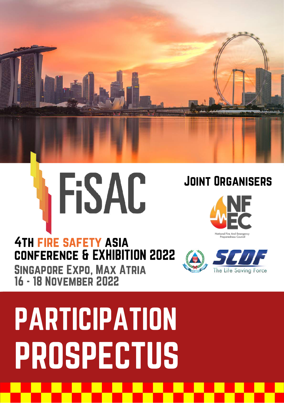



### **4TH FIRE SAFETY ASIA** conference & EXHIBITION 2022

Singapore Expo, Max Atria 16 - 18 November 2022

Preparedness Cou

Joint Organisers



# PARTICIPATION PROSPECTUS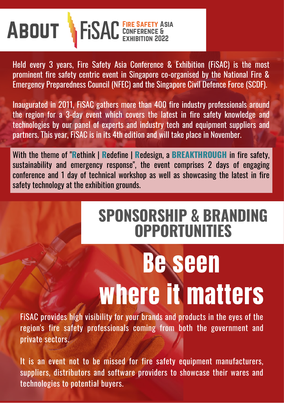

Held every 3 years, Fire Safety Asia Conference & Exhibition (FiSAC) is the most prominent fire safety centric event in Singapore co-organised by the National Fire & Emergency Preparedness Council (NFEC) and the Singapore Civil Defence Force (SCDF).

Inaugurated in 2011, FiSAC gathers more than 400 fire industry professionals around the region for a 3-day event which covers the latest in fire safety knowledge and technologies by our panel of experts and industry tech and equipment suppliers and partners. This year, FiSAC is in its 4th edition and will take place in November.

With the theme of "**R**ethink | **R**edefine | **R**edesign, a **BREAKTHROUGH** in fire safety, sustainability and emergency response", the event comprises 2 days of engaging conference and 1 day of technical workshop as well as showcasing the latest in fire safety technology at the exhibition grounds.

### **SPONSORSHIP & BRANDING OPPORTUNITIES**

# Be seen where it matters

FiSAC provides high visibility for your brands and products in the eyes of the region's fire safety professionals coming from both the government and private sectors.

It is an event not to be missed for fire safety equipment manufacturers, suppliers, distributors and software providers to showcase their wares and technologies to potential buyers.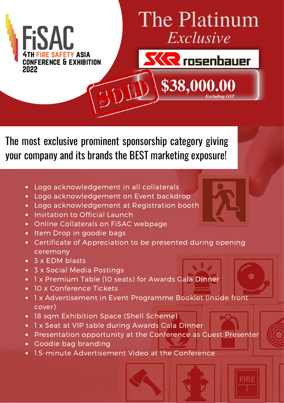

### The Platinum *Exclusive*

**\$38,000.00**

**SKR** rosenbauer

*Excluding GST*

**FIRE** 

The most exclusive prominent sponsorship category giving your company and its brands the BEST marketing exposure!

- Logo acknowledgement in all collaterals  $\bullet$
- Logo acknowledgement on Event backdrop  $\bullet$
- Logo acknowledgement at Registration booth
- Invitation to Official Launch
- Online Collaterals on FiSAC webpage  $\bullet$
- Item Drop in goodie bags  $\bullet$
- Certificate of Appreciation to be presented during opening ceremony
- 3 x EDM blasts
- 3 x Social Media Postings
- 1 x Premium Table (10 seats) for Awards Gala Dinner
- 10 x Conference Tickets  $\bullet$
- 1 x Advertisement in Event Programme Booklet (inside front cover)
- 18 sqm Exhibition Space (Shell Scheme)
- 1 x Seat at VIP table during Awards Gala Dinner
- Presentation opportunity at the Conference as Guest Presenter
- Goodie bag branding
- 1.5-minute Advertisement Video at the Conference  $\bullet$

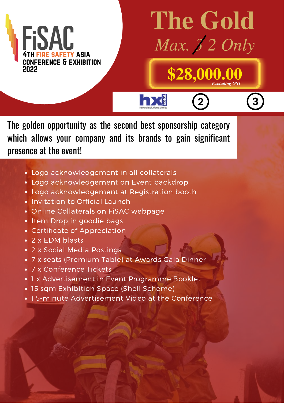

## **The Gold** *Max. 3 2 Only*

**\$28,000.00**

*Excluding GST*

The golden opportunity as the second best sponsorship category which allows your company and its brands to gain significant presence at the event!

hx

- Logo acknowledgement in all collaterals
- Logo acknowledgement on Event backdrop
- Logo acknowledgement at Registration booth
- Invitation to Official Launch  $\bullet$
- Online Collaterals on FiSAC webpage
- Item Drop in goodie bags
- Certificate of Appreciation
- 2 x EDM blasts
- 2 x Social Media Postings
- 7 x seats (Premium Table) at Awards Gala Dinner
- 7 x Conference Tickets
- 1 x Advertisement in Event Programme Booklet
- 15 sqm Exhibition Space (Shell Scheme)
- 1.5-minute Advertisement Video at the Conference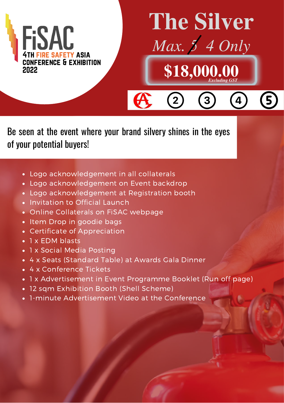

# **The Silver**



 $\overline{3}$ 

 $\boxed{2}$ 

*Excluding GST*

 $\overline{4}$ 

Be seen at the event where your brand silvery shines in the eyes of your potential buyers!

 $\boldsymbol{\theta}$ 

- Logo acknowledgement in all collaterals
- Logo acknowledgement on Event backdrop
- Logo acknowledgement at Registration booth
- Invitation to Official Launch
- Online Collaterals on FiSAC webpage
- Item Drop in goodie bags
- Certificate of Appreciation
- 1 x EDM blasts
- 1 x Social Media Posting
- 4 x Seats (Standard Table) at Awards Gala Dinner
- 4 x Conference Tickets
- 1 x Advertisement in Event Programme Booklet (Run off page)
- 12 sqm Exhibition Booth (Shell Scheme)
- 1-minute Advertisement Video at the Conference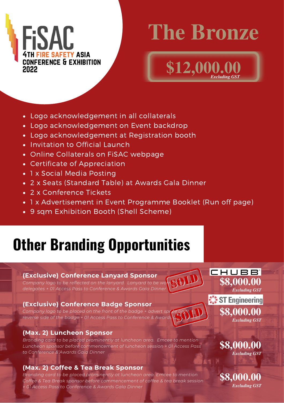

## **The Bronze**

*Excluding GST*

**\$12,000.** 

Logo acknowledgement in all collaterals

- Logo acknowledgement on Event backdrop
- Logo acknowledgement at Registration booth
- Invitation to Official Launch
- Online Collaterals on FiSAC webpage
- Certificate of Appreciation
- 1 x Social Media Posting
- 2 x Seats (Standard Table) at Awards Gala Dinner
- 2 x Conference Tickets
- 1 x Advertisement in Event Programme Booklet (Run off page)
- 9 sqm Exhibition Booth (Shell Scheme)

### **Other Branding Opportunities**

#### **(Exclusive) Conference Lanyard Sponsor**

*Company logo to be reflected on the lanyard*. Lanyard *to be w delegates + 01 Access Pass to Conference & Awards Gala Dinner*

#### **(Exclusive) Conference Badge Sponsor**

*Company logo to be placed on the front of the badge* + *adver reverse side of the badge + 01 Access Pass to Conference & Awards Gala Dinner*

#### **(Max. 2) Luncheon Sponsor**

*Branding card to be placed prominently at luncheon area. Emcee to mention Luncheon sponsor before commencement of luncheon session + 01 Access Pass to Conference & Awards Gala Dinner*

#### **(Max. 2) Coffee & Tea Break Sponsor**

*Branding card to be placed prominently at luncheon area. Emcee to mention Coffee & Tea Break sponsor before commencement of coffee & tea break session + 01 Access Pass to Conference & Awards Gala Dinner*

CHUBB<sup>®</sup> **\$8,000.00** *Excluding GST* ST Engineering

> **\$8,000.00** *Excluding GST*

**\$8,000.00**

*Excluding GST*

*Excluding GST*

**\$8,000.00**